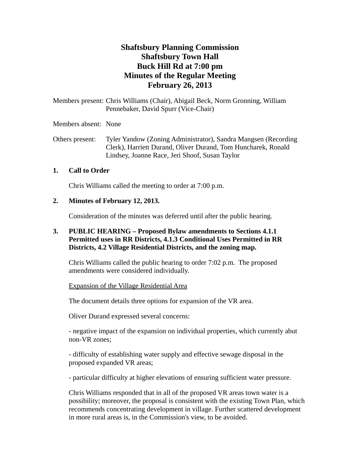# **Shaftsbury Planning Commission Shaftsbury Town Hall Buck Hill Rd at 7:00 pm Minutes of the Regular Meeting February 26, 2013**

Members present: Chris Williams (Chair), Abigail Beck, Norm Gronning, William Pennebaker, David Spurr (Vice-Chair)

Members absent: None

Others present: Tyler Yandow (Zoning Administrator), Sandra Mangsen (Recording Clerk), Harriett Durand, Oliver Durand, Tom Huncharek, Ronald Lindsey, Joanne Race, Jeri Shoof, Susan Taylor

## **1. Call to Order**

Chris Williams called the meeting to order at 7:00 p.m.

## **2. Minutes of February 12, 2013.**

Consideration of the minutes was deferred until after the public hearing.

## **3. PUBLIC HEARING – Proposed Bylaw amendments to Sections 4.1.1 Permitted uses in RR Districts, 4.1.3 Conditional Uses Permitted in RR Districts, 4.2 Village Residential Districts, and the zoning map.**

Chris Williams called the public hearing to order 7:02 p.m. The proposed amendments were considered individually.

### Expansion of the Village Residential Area

The document details three options for expansion of the VR area.

Oliver Durand expressed several concerns:

- negative impact of the expansion on individual properties, which currently abut non-VR zones;

- difficulty of establishing water supply and effective sewage disposal in the proposed expanded VR areas;

- particular difficulty at higher elevations of ensuring sufficient water pressure.

Chris Williams responded that in all of the proposed VR areas town water is a possibility; moreover, the proposal is consistent with the existing Town Plan, which recommends concentrating development in village. Further scattered development in more rural areas is, in the Commission's view, to be avoided.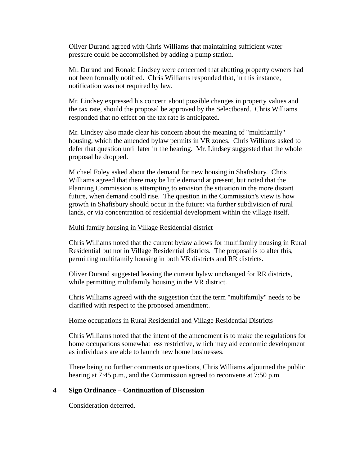Oliver Durand agreed with Chris Williams that maintaining sufficient water pressure could be accomplished by adding a pump station.

Mr. Durand and Ronald Lindsey were concerned that abutting property owners had not been formally notified. Chris Williams responded that, in this instance, notification was not required by law.

Mr. Lindsey expressed his concern about possible changes in property values and the tax rate, should the proposal be approved by the Selectboard. Chris Williams responded that no effect on the tax rate is anticipated.

Mr. Lindsey also made clear his concern about the meaning of "multifamily" housing, which the amended bylaw permits in VR zones. Chris Williams asked to defer that question until later in the hearing. Mr. Lindsey suggested that the whole proposal be dropped.

Michael Foley asked about the demand for new housing in Shaftsbury. Chris Williams agreed that there may be little demand at present, but noted that the Planning Commission is attempting to envision the situation in the more distant future, when demand could rise. The question in the Commission's view is how growth in Shaftsbury should occur in the future: via further subdivision of rural lands, or via concentration of residential development within the village itself.

#### Multi family housing in Village Residential district

Chris Williams noted that the current bylaw allows for multifamily housing in Rural Residential but not in Village Residential districts. The proposal is to alter this, permitting multifamily housing in both VR districts and RR districts.

Oliver Durand suggested leaving the current bylaw unchanged for RR districts, while permitting multifamily housing in the VR district.

Chris Williams agreed with the suggestion that the term "multifamily" needs to be clarified with respect to the proposed amendment.

#### Home occupations in Rural Residential and Village Residential Districts

Chris Williams noted that the intent of the amendment is to make the regulations for home occupations somewhat less restrictive, which may aid economic development as individuals are able to launch new home businesses.

There being no further comments or questions, Chris Williams adjourned the public hearing at 7:45 p.m., and the Commission agreed to reconvene at 7:50 p.m.

### **4 Sign Ordinance – Continuation of Discussion**

Consideration deferred.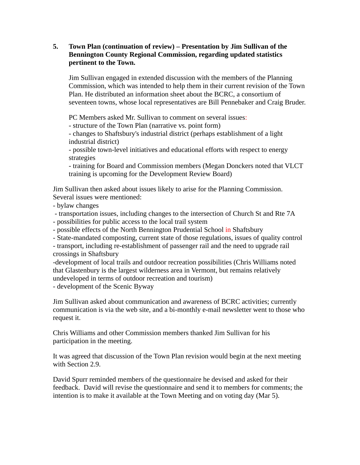## **5. Town Plan (continuation of review) – Presentation by Jim Sullivan of the Bennington County Regional Commission, regarding updated statistics pertinent to the Town.**

Jim Sullivan engaged in extended discussion with the members of the Planning Commission, which was intended to help them in their current revision of the Town Plan. He distributed an information sheet about the BCRC, a consortium of seventeen towns, whose local representatives are Bill Pennebaker and Craig Bruder.

PC Members asked Mr. Sullivan to comment on several issues:

- structure of the Town Plan (narrative vs. point form)

- changes to Shaftsbury's industrial district (perhaps establishment of a light industrial district)

- possible town-level initiatives and educational efforts with respect to energy strategies

- training for Board and Commission members (Megan Donckers noted that VLCT training is upcoming for the Development Review Board)

Jim Sullivan then asked about issues likely to arise for the Planning Commission. Several issues were mentioned:

- bylaw changes

 - transportation issues, including changes to the intersection of Church St and Rte 7A - possibilities for public access to the local trail system

- possible effects of the North Bennington Prudential School in Shaftsbury

- State-mandated composting, current state of those regulations, issues of quality control

- transport, including re-establishment of passenger rail and the need to upgrade rail crossings in Shaftsbury

-development of local trails and outdoor recreation possibilities (Chris Williams noted that Glastenbury is the largest wilderness area in Vermont, but remains relatively undeveloped in terms of outdoor recreation and tourism)

- development of the Scenic Byway

Jim Sullivan asked about communication and awareness of BCRC activities; currently communication is via the web site, and a bi-monthly e-mail newsletter went to those who request it.

Chris Williams and other Commission members thanked Jim Sullivan for his participation in the meeting.

It was agreed that discussion of the Town Plan revision would begin at the next meeting with Section 2.9.

David Spurr reminded members of the questionnaire he devised and asked for their feedback. David will revise the questionnaire and send it to members for comments; the intention is to make it available at the Town Meeting and on voting day (Mar 5).